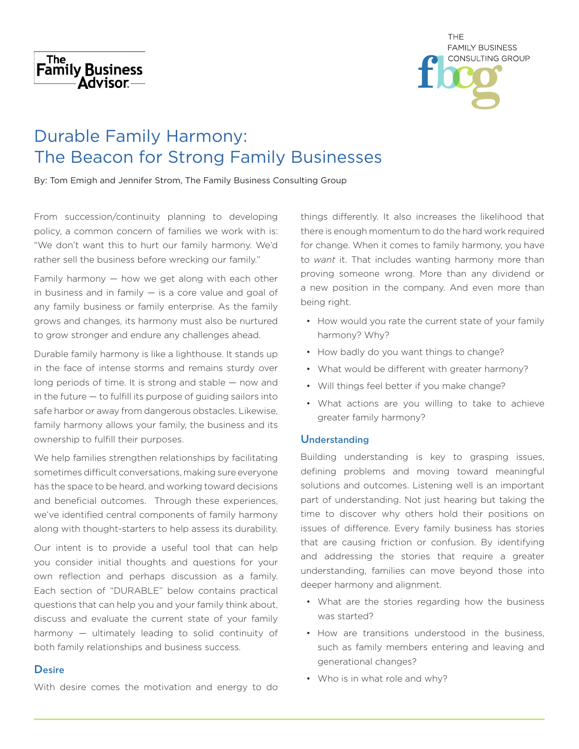



# Durable Family Harmony: The Beacon for Strong Family Businesses

By: Tom Emigh and Jennifer Strom, The Family Business Consulting Group

From succession/continuity planning to developing policy, a common concern of families we work with is: "We don't want this to hurt our family harmony. We'd rather sell the business before wrecking our family."

Family harmony — how we get along with each other in business and in family  $-$  is a core value and goal of any family business or family enterprise. As the family grows and changes, its harmony must also be nurtured to grow stronger and endure any challenges ahead.

Durable family harmony is like a lighthouse. It stands up in the face of intense storms and remains sturdy over long periods of time. It is strong and stable — now and in the future — to fulfill its purpose of guiding sailors into safe harbor or away from dangerous obstacles. Likewise, family harmony allows your family, the business and its ownership to fulfill their purposes.

We help families strengthen relationships by facilitating sometimes difficult conversations, making sure everyone has the space to be heard, and working toward decisions and beneficial outcomes. Through these experiences, we've identified central components of family harmony along with thought-starters to help assess its durability.

Our intent is to provide a useful tool that can help you consider initial thoughts and questions for your own reflection and perhaps discussion as a family. Each section of "DURABLE" below contains practical questions that can help you and your family think about, discuss and evaluate the current state of your family harmony — ultimately leading to solid continuity of both family relationships and business success.

#### **Desire**

With desire comes the motivation and energy to do

things differently. It also increases the likelihood that there is enough momentum to do the hard work required for change. When it comes to family harmony, you have to *want* it. That includes wanting harmony more than proving someone wrong. More than any dividend or a new position in the company. And even more than being right.

- How would you rate the current state of your family harmony? Why?
- How badly do you want things to change?
- What would be different with greater harmony?
- Will things feel better if you make change?
- What actions are you willing to take to achieve greater family harmony?

#### Understanding

Building understanding is key to grasping issues, defining problems and moving toward meaningful solutions and outcomes. Listening well is an important part of understanding. Not just hearing but taking the time to discover why others hold their positions on issues of difference. Every family business has stories that are causing friction or confusion. By identifying and addressing the stories that require a greater understanding, families can move beyond those into deeper harmony and alignment.

- What are the stories regarding how the business was started?
- How are transitions understood in the business, such as family members entering and leaving and generational changes?
- Who is in what role and why?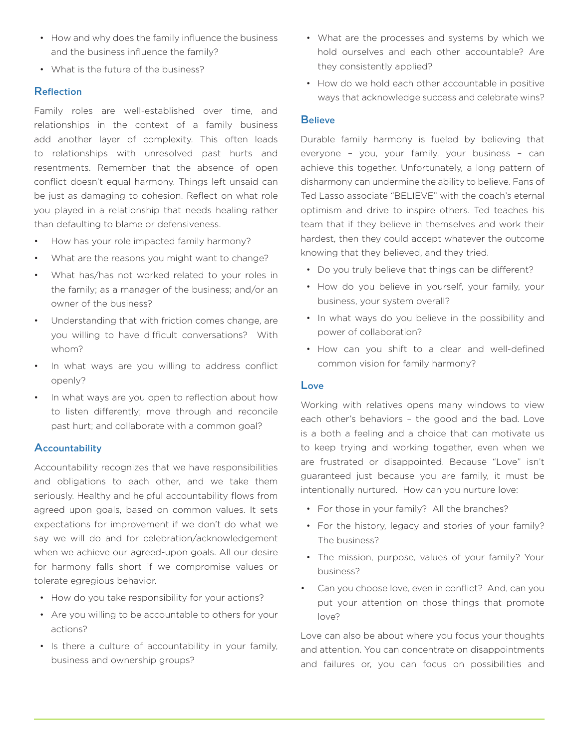- How and why does the family influence the business and the business influence the family?
- What is the future of the business?

# Reflection

Family roles are well-established over time, and relationships in the context of a family business add another layer of complexity. This often leads to relationships with unresolved past hurts and resentments. Remember that the absence of open conflict doesn't equal harmony. Things left unsaid can be just as damaging to cohesion. Reflect on what role you played in a relationship that needs healing rather than defaulting to blame or defensiveness.

- How has your role impacted family harmony?
- What are the reasons you might want to change?
- What has/has not worked related to your roles in the family; as a manager of the business; and/or an owner of the business?
- Understanding that with friction comes change, are you willing to have difficult conversations? With whom?
- In what ways are you willing to address conflict openly?
- In what ways are you open to reflection about how to listen differently; move through and reconcile past hurt; and collaborate with a common goal?

# **Accountability**

Accountability recognizes that we have responsibilities and obligations to each other, and we take them seriously. Healthy and helpful accountability flows from agreed upon goals, based on common values. It sets expectations for improvement if we don't do what we say we will do and for celebration/acknowledgement when we achieve our agreed-upon goals. All our desire for harmony falls short if we compromise values or tolerate egregious behavior.

- How do you take responsibility for your actions?
- Are you willing to be accountable to others for your actions?
- Is there a culture of accountability in your family, business and ownership groups?
- What are the processes and systems by which we hold ourselves and each other accountable? Are they consistently applied?
- How do we hold each other accountable in positive ways that acknowledge success and celebrate wins?

#### **Believe**

Durable family harmony is fueled by believing that everyone – you, your family, your business – can achieve this together. Unfortunately, a long pattern of disharmony can undermine the ability to believe. Fans of Ted Lasso associate "BELIEVE" with the coach's eternal optimism and drive to inspire others. Ted teaches his team that if they believe in themselves and work their hardest, then they could accept whatever the outcome knowing that they believed, and they tried.

- Do you truly believe that things can be different?
- How do you believe in yourself, your family, your business, your system overall?
- In what ways do you believe in the possibility and power of collaboration?
- How can you shift to a clear and well-defined common vision for family harmony?

#### Love

Working with relatives opens many windows to view each other's behaviors – the good and the bad. Love is a both a feeling and a choice that can motivate us to keep trying and working together, even when we are frustrated or disappointed. Because "Love" isn't guaranteed just because you are family, it must be intentionally nurtured. How can you nurture love:

- For those in your family? All the branches?
- For the history, legacy and stories of your family? The business?
- The mission, purpose, values of your family? Your business?
- Can you choose love, even in conflict? And, can you put your attention on those things that promote love?

Love can also be about where you focus your thoughts and attention. You can concentrate on disappointments and failures or, you can focus on possibilities and